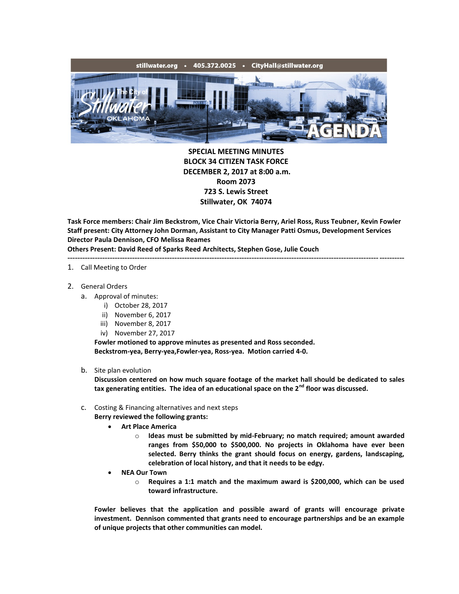

**SPECIAL MEETING MINUTES BLOCK 34 CITIZEN TASK FORCE DECEMBER 2, 2017 at 8:00 a.m. Room 2073 723 S. Lewis Street Stillwater, OK 74074**

**Task Force members: Chair Jim Beckstrom, Vice Chair Victoria Berry, Ariel Ross, Russ Teubner, Kevin Fowler Staff present: City Attorney John Dorman, Assistant to City Manager Patti Osmus, Development Services Director Paula Dennison, CFO Melissa Reames Others Present: David Reed of Sparks Reed Architects, Stephen Gose, Julie Couch**

## ---------------------------------------------------------------------------------------------------------------------------------------

- 1. Call Meeting to Order
- 2. General Orders
	- a. Approval of minutes:
		- i) October 28, 2017
		- ii) November 6, 2017
		- iii) November 8, 2017
		- iv) November 27, 2017

**Fowler motioned to approve minutes as presented and Ross seconded. Beckstrom-yea, Berry-yea,Fowler-yea, Ross-yea. Motion carried 4-0.**

b. Site plan evolution

**Discussion centered on how much square footage of the market hall should be dedicated to sales tax generating entities. The idea of an educational space on the 2nd floor was discussed.**

- c. Costing & Financing alternatives and next steps
	- **Berry reviewed the following grants:**
		- **Art Place America**
			- o **Ideas must be submitted by mid-February; no match required; amount awarded ranges from \$50,000 to \$500,000. No projects in Oklahoma have ever been selected. Berry thinks the grant should focus on energy, gardens, landscaping, celebration of local history, and that it needs to be edgy.**
		- **NEA Our Town**
			- o **Requires a 1:1 match and the maximum award is \$200,000, which can be used toward infrastructure.**

**Fowler believes that the application and possible award of grants will encourage private investment. Dennison commented that grants need to encourage partnerships and be an example of unique projects that other communities can model.**